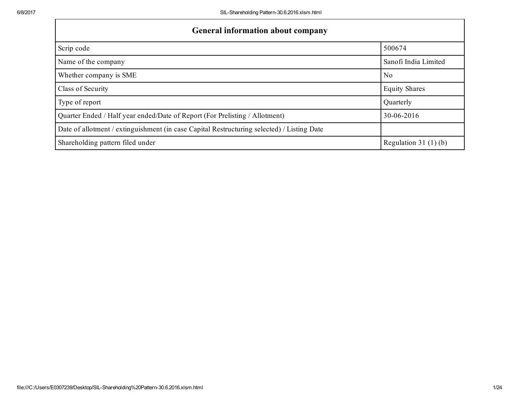| <b>General information about company</b>                                                   |                       |  |  |  |  |  |  |
|--------------------------------------------------------------------------------------------|-----------------------|--|--|--|--|--|--|
| Scrip code                                                                                 | 500674                |  |  |  |  |  |  |
| Name of the company                                                                        | Sanofi India Limited  |  |  |  |  |  |  |
| Whether company is SME                                                                     | N <sub>0</sub>        |  |  |  |  |  |  |
| Class of Security                                                                          | <b>Equity Shares</b>  |  |  |  |  |  |  |
| Type of report                                                                             | Quarterly             |  |  |  |  |  |  |
| Quarter Ended / Half year ended/Date of Report (For Prelisting / Allotment)                | 30-06-2016            |  |  |  |  |  |  |
| Date of allotment / extinguishment (in case Capital Restructuring selected) / Listing Date |                       |  |  |  |  |  |  |
| Shareholding pattern filed under                                                           | Regulation $31(1)(b)$ |  |  |  |  |  |  |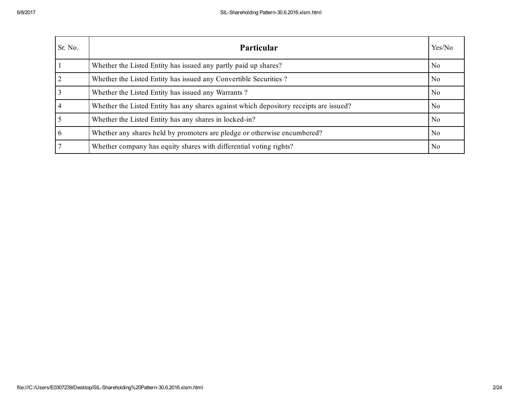| Sr. No.        | <b>Particular</b>                                                                      | Yes/No         |
|----------------|----------------------------------------------------------------------------------------|----------------|
|                | Whether the Listed Entity has issued any partly paid up shares?                        | N <sub>0</sub> |
| $\overline{2}$ | Whether the Listed Entity has issued any Convertible Securities?                       | N <sub>0</sub> |
|                | Whether the Listed Entity has issued any Warrants?                                     | N <sub>0</sub> |
| 4              | Whether the Listed Entity has any shares against which depository receipts are issued? | N <sub>0</sub> |
|                | Whether the Listed Entity has any shares in locked-in?                                 | N <sub>0</sub> |
| 6              | Whether any shares held by promoters are pledge or otherwise encumbered?               | N <sub>0</sub> |
|                | Whether company has equity shares with differential voting rights?                     | N <sub>0</sub> |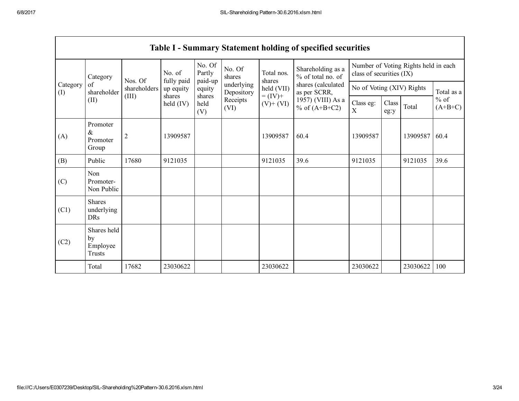$\Gamma$ 

|                 | <b>Table I - Summary Statement holding of specified securities</b> |                |                         |                       |                          |                                                  |                                        |                                                                  |               |          |                     |
|-----------------|--------------------------------------------------------------------|----------------|-------------------------|-----------------------|--------------------------|--------------------------------------------------|----------------------------------------|------------------------------------------------------------------|---------------|----------|---------------------|
|                 | Category                                                           | Nos. Of        | No. of                  | No. Of<br>Partly      | No. Of<br>shares         | Total nos.<br>shares                             | Shareholding as a<br>% of total no. of | Number of Voting Rights held in each<br>class of securities (IX) |               |          |                     |
| Category<br>(I) | of<br>shareholder                                                  | shareholders   | fully paid<br>up equity | paid-up<br>equity     | underlying<br>Depository | shares (calculated<br>held (VII)<br>as per SCRR, |                                        | No of Voting (XIV) Rights                                        |               |          | Total as a          |
|                 | (II)                                                               | (III)          | shares<br>held $(IV)$   | shares<br>held<br>(V) | Receipts<br>(VI)         | $= (IV) +$<br>$(V)$ + $(VI)$                     | 1957) (VIII) As a<br>% of $(A+B+C2)$   | Class eg:<br>$\boldsymbol{\mathrm{X}}$                           | Class<br>eg:y | Total    | $%$ of<br>$(A+B+C)$ |
| (A)             | Promoter<br>&<br>Promoter<br>Group                                 | $\overline{2}$ | 13909587                |                       |                          | 13909587                                         | 60.4                                   | 13909587                                                         |               | 13909587 | 60.4                |
| (B)             | Public                                                             | 17680          | 9121035                 |                       |                          | 9121035                                          | 39.6                                   | 9121035                                                          |               | 9121035  | 39.6                |
| (C)             | Non<br>Promoter-<br>Non Public                                     |                |                         |                       |                          |                                                  |                                        |                                                                  |               |          |                     |
| (C1)            | <b>Shares</b><br>underlying<br><b>DRs</b>                          |                |                         |                       |                          |                                                  |                                        |                                                                  |               |          |                     |
| (C2)            | Shares held<br>by<br>Employee<br>Trusts                            |                |                         |                       |                          |                                                  |                                        |                                                                  |               |          |                     |
|                 | Total                                                              | 17682          | 23030622                |                       |                          | 23030622                                         |                                        | 23030622                                                         |               | 23030622 | 100                 |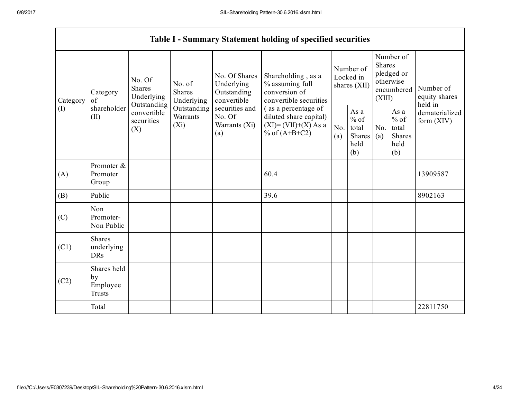|                 | <b>Table I - Summary Statement holding of specified securities</b>                            |             |                                                                             |                                                                                                               |                                                                                                                                                                                 |                                        |                                                  |                                                                               |                                                  |                                       |
|-----------------|-----------------------------------------------------------------------------------------------|-------------|-----------------------------------------------------------------------------|---------------------------------------------------------------------------------------------------------------|---------------------------------------------------------------------------------------------------------------------------------------------------------------------------------|----------------------------------------|--------------------------------------------------|-------------------------------------------------------------------------------|--------------------------------------------------|---------------------------------------|
| Category<br>(I) | No. Of<br>Shares<br>Category<br>of<br>Outstanding<br>shareholder<br>(II)<br>securities<br>(X) | Underlying  | No. of<br><b>Shares</b><br>Underlying<br>Outstanding<br>Warrants<br>$(X_i)$ | No. Of Shares<br>Underlying<br>Outstanding<br>convertible<br>securities and<br>No. Of<br>Warrants (Xi)<br>(a) | Shareholding, as a<br>% assuming full<br>conversion of<br>convertible securities<br>(as a percentage of<br>diluted share capital)<br>$(XI) = (VII)+(X) As a$<br>% of $(A+B+C2)$ | Number of<br>Locked in<br>shares (XII) |                                                  | Number of<br><b>Shares</b><br>pledged or<br>otherwise<br>encumbered<br>(XIII) |                                                  | Number of<br>equity shares<br>held in |
|                 |                                                                                               | convertible |                                                                             |                                                                                                               |                                                                                                                                                                                 | No.<br>(a)                             | As a<br>$%$ of<br>total<br>Shares<br>held<br>(b) | No.<br>(a)                                                                    | As a<br>$%$ of<br>total<br>Shares<br>held<br>(b) | dematerialized<br>form $(XIV)$        |
| (A)             | Promoter &<br>Promoter<br>Group                                                               |             |                                                                             |                                                                                                               | 60.4                                                                                                                                                                            |                                        |                                                  |                                                                               |                                                  | 13909587                              |
| (B)             | Public                                                                                        |             |                                                                             |                                                                                                               | 39.6                                                                                                                                                                            |                                        |                                                  |                                                                               |                                                  | 8902163                               |
| (C)             | Non<br>Promoter-<br>Non Public                                                                |             |                                                                             |                                                                                                               |                                                                                                                                                                                 |                                        |                                                  |                                                                               |                                                  |                                       |
| (C1)            | <b>Shares</b><br>underlying<br><b>DRs</b>                                                     |             |                                                                             |                                                                                                               |                                                                                                                                                                                 |                                        |                                                  |                                                                               |                                                  |                                       |
| (C2)            | Shares held<br>by<br>Employee<br><b>Trusts</b>                                                |             |                                                                             |                                                                                                               |                                                                                                                                                                                 |                                        |                                                  |                                                                               |                                                  |                                       |
|                 | Total                                                                                         |             |                                                                             |                                                                                                               |                                                                                                                                                                                 |                                        |                                                  |                                                                               |                                                  | 22811750                              |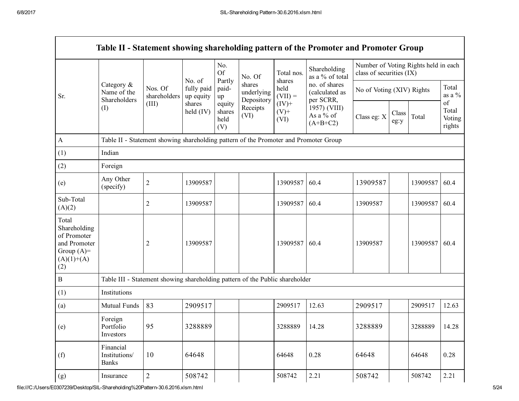|                                                                                             |                                                                                      |                         |                                   |                                 |                                    |                             | Table II - Statement showing shareholding pattern of the Promoter and Promoter Group |                           |                                      |                 |                                 |
|---------------------------------------------------------------------------------------------|--------------------------------------------------------------------------------------|-------------------------|-----------------------------------|---------------------------------|------------------------------------|-----------------------------|--------------------------------------------------------------------------------------|---------------------------|--------------------------------------|-----------------|---------------------------------|
|                                                                                             |                                                                                      |                         |                                   | No.<br><b>Of</b>                | No. Of                             | Total nos.                  | Shareholding<br>as a % of total                                                      | class of securities (IX)  | Number of Voting Rights held in each |                 |                                 |
| Sr.                                                                                         | Category $\&$<br>Name of the<br>Shareholders                                         | Nos. Of<br>shareholders | No. of<br>fully paid<br>up equity | Partly<br>paid-<br>up           | shares<br>underlying<br>Depository | shares<br>held<br>$(VII) =$ | no. of shares<br>(calculated as<br>per SCRR,                                         | No of Voting (XIV) Rights |                                      | Total<br>as a % |                                 |
|                                                                                             | (1)                                                                                  | (III)                   | shares<br>held $(IV)$             | equity<br>shares<br>held<br>(V) | Receipts<br>(VI)                   | $(IV)+$<br>$(V)$ +<br>(VI)  | 1957) (VIII)<br>As a % of<br>$(A+B+C2)$                                              | Class eg: X               | Class<br>eg:y                        | Total           | of<br>Total<br>Voting<br>rights |
| A                                                                                           | Table II - Statement showing shareholding pattern of the Promoter and Promoter Group |                         |                                   |                                 |                                    |                             |                                                                                      |                           |                                      |                 |                                 |
| (1)                                                                                         | Indian                                                                               |                         |                                   |                                 |                                    |                             |                                                                                      |                           |                                      |                 |                                 |
| (2)                                                                                         | Foreign                                                                              |                         |                                   |                                 |                                    |                             |                                                                                      |                           |                                      |                 |                                 |
| (e)                                                                                         | Any Other<br>(specify)                                                               | $\overline{2}$          | 13909587                          |                                 |                                    | 13909587                    | 60.4                                                                                 | 13909587                  |                                      | 13909587        | 60.4                            |
| Sub-Total<br>(A)(2)                                                                         |                                                                                      | $\overline{2}$          | 13909587                          |                                 |                                    | 13909587                    | 60.4                                                                                 | 13909587                  |                                      | 13909587        | 60.4                            |
| Total<br>Shareholding<br>of Promoter<br>and Promoter<br>Group $(A)=$<br>$(A)(1)+(A)$<br>(2) |                                                                                      | $\overline{c}$          | 13909587                          |                                 |                                    | 13909587                    | 60.4                                                                                 | 13909587                  |                                      | 13909587        | 60.4                            |
| $\boldsymbol{B}$                                                                            | Table III - Statement showing shareholding pattern of the Public shareholder         |                         |                                   |                                 |                                    |                             |                                                                                      |                           |                                      |                 |                                 |
| (1)                                                                                         | Institutions                                                                         |                         |                                   |                                 |                                    |                             |                                                                                      |                           |                                      |                 |                                 |
| (a)                                                                                         | Mutual Funds                                                                         | 83                      | 2909517                           |                                 |                                    | 2909517                     | 12.63                                                                                | 2909517                   |                                      | 2909517         | 12.63                           |
| (e)                                                                                         | Foreign<br>Portfolio<br>Investors                                                    | 95                      | 3288889                           |                                 |                                    | 3288889                     | 14.28                                                                                | 3288889                   |                                      | 3288889         | 14.28                           |
| (f)                                                                                         | Financial<br>Institutions/<br><b>Banks</b>                                           | 10                      | 64648                             |                                 |                                    | 64648                       | 0.28                                                                                 | 64648                     |                                      | 64648           | 0.28                            |
| (g)                                                                                         | Insurance                                                                            | $\overline{c}$          | 508742                            |                                 |                                    | 508742                      | 2.21                                                                                 | 508742                    |                                      | 508742          | 2.21                            |

 $\blacksquare$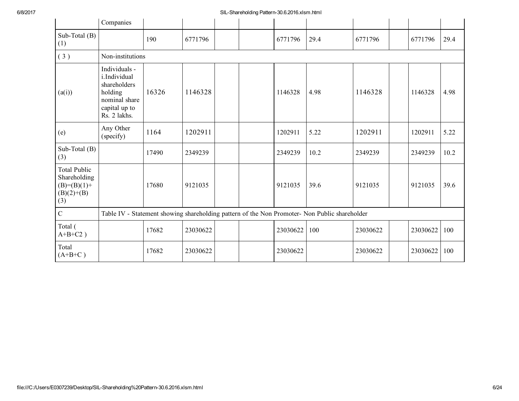## 6/8/2017 SILShareholding Pattern30.6.2016.xlsm.html

|                                                                             | Companies                                                                                                  |       |          |  |  |          |                                                                                               |          |  |          |      |
|-----------------------------------------------------------------------------|------------------------------------------------------------------------------------------------------------|-------|----------|--|--|----------|-----------------------------------------------------------------------------------------------|----------|--|----------|------|
| Sub-Total (B)<br>(1)                                                        |                                                                                                            | 190   | 6771796  |  |  | 6771796  | 29.4                                                                                          | 6771796  |  | 6771796  | 29.4 |
| (3)                                                                         | Non-institutions                                                                                           |       |          |  |  |          |                                                                                               |          |  |          |      |
| (a(i))                                                                      | Individuals -<br>i.Individual<br>shareholders<br>holding<br>nominal share<br>capital up to<br>Rs. 2 lakhs. | 16326 | 1146328  |  |  | 1146328  | 4.98                                                                                          | 1146328  |  | 1146328  | 4.98 |
| (e)                                                                         | Any Other<br>(specify)                                                                                     | 1164  | 1202911  |  |  | 1202911  | 5.22                                                                                          | 1202911  |  | 1202911  | 5.22 |
| Sub-Total (B)<br>(3)                                                        |                                                                                                            | 17490 | 2349239  |  |  | 2349239  | 10.2                                                                                          | 2349239  |  | 2349239  | 10.2 |
| <b>Total Public</b><br>Shareholding<br>$(B)=(B)(1)+$<br>$(B)(2)+(B)$<br>(3) |                                                                                                            | 17680 | 9121035  |  |  | 9121035  | 39.6                                                                                          | 9121035  |  | 9121035  | 39.6 |
| $\overline{C}$                                                              |                                                                                                            |       |          |  |  |          | Table IV - Statement showing shareholding pattern of the Non Promoter- Non Public shareholder |          |  |          |      |
| Total (<br>$A+B+C2$ )                                                       |                                                                                                            | 17682 | 23030622 |  |  | 23030622 | 100                                                                                           | 23030622 |  | 23030622 | 100  |
| Total<br>$(A+B+C)$                                                          |                                                                                                            | 17682 | 23030622 |  |  | 23030622 |                                                                                               | 23030622 |  | 23030622 | 100  |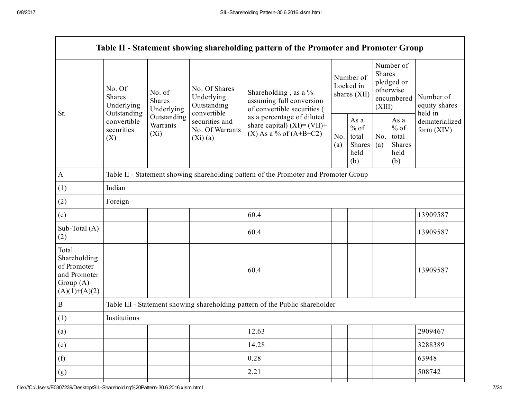|                                                                                         |                                                                                                                                                                  |                                                 |                                                                                             | Table II - Statement showing shareholding pattern of the Promoter and Promoter Group |                                                  |            |                                                                               |                                |                                       |  |
|-----------------------------------------------------------------------------------------|------------------------------------------------------------------------------------------------------------------------------------------------------------------|-------------------------------------------------|---------------------------------------------------------------------------------------------|--------------------------------------------------------------------------------------|--------------------------------------------------|------------|-------------------------------------------------------------------------------|--------------------------------|---------------------------------------|--|
| Sr.                                                                                     | No. Of<br>No. of<br>Shares<br><b>Shares</b><br>Underlying<br>Underlying<br>Outstanding<br>Outstanding<br>convertible<br>Warrants<br>securities<br>$(X_i)$<br>(X) |                                                 | No. Of Shares<br>Underlying<br>Outstanding<br>convertible                                   | Shareholding, as a %<br>assuming full conversion<br>of convertible securities (      | Number of<br>Locked in<br>shares (XII)           |            | Number of<br><b>Shares</b><br>pledged or<br>otherwise<br>encumbered<br>(XIII) |                                | Number of<br>equity shares<br>held in |  |
|                                                                                         |                                                                                                                                                                  | securities and<br>No. Of Warrants<br>$(Xi)$ (a) | as a percentage of diluted<br>share capital) $(XI) = (VII) +$<br>$(X)$ As a % of $(A+B+C2)$ | No.<br>(a)                                                                           | As a<br>$%$ of<br>total<br>Shares<br>held<br>(b) | No.<br>(a) | As a<br>$%$ of<br>total<br><b>Shares</b><br>held<br>(b)                       | dematerialized<br>form $(XIV)$ |                                       |  |
| $\mathbf{A}$                                                                            |                                                                                                                                                                  |                                                 |                                                                                             | Table II - Statement showing shareholding pattern of the Promoter and Promoter Group |                                                  |            |                                                                               |                                |                                       |  |
| (1)                                                                                     | Indian                                                                                                                                                           |                                                 |                                                                                             |                                                                                      |                                                  |            |                                                                               |                                |                                       |  |
| (2)                                                                                     | Foreign                                                                                                                                                          |                                                 |                                                                                             |                                                                                      |                                                  |            |                                                                               |                                |                                       |  |
| (e)                                                                                     |                                                                                                                                                                  |                                                 |                                                                                             | 60.4                                                                                 |                                                  |            |                                                                               |                                | 13909587                              |  |
| Sub-Total (A)<br>(2)                                                                    |                                                                                                                                                                  |                                                 |                                                                                             | 60.4                                                                                 |                                                  |            |                                                                               |                                | 13909587                              |  |
| Total<br>Shareholding<br>of Promoter<br>and Promoter<br>Group $(A)=$<br>$(A)(1)+(A)(2)$ |                                                                                                                                                                  |                                                 |                                                                                             | 60.4                                                                                 |                                                  |            |                                                                               |                                | 13909587                              |  |
| $\, {\bf B}$                                                                            |                                                                                                                                                                  |                                                 |                                                                                             | Table III - Statement showing shareholding pattern of the Public shareholder         |                                                  |            |                                                                               |                                |                                       |  |
| (1)                                                                                     | Institutions                                                                                                                                                     |                                                 |                                                                                             |                                                                                      |                                                  |            |                                                                               |                                |                                       |  |
| (a)                                                                                     |                                                                                                                                                                  |                                                 |                                                                                             | 12.63                                                                                |                                                  |            |                                                                               |                                | 2909467                               |  |
| (e)                                                                                     |                                                                                                                                                                  |                                                 |                                                                                             | 14.28                                                                                |                                                  |            |                                                                               |                                | 3288389                               |  |
| (f)                                                                                     |                                                                                                                                                                  |                                                 |                                                                                             | 0.28                                                                                 |                                                  |            |                                                                               |                                | 63948                                 |  |
| (g)                                                                                     |                                                                                                                                                                  |                                                 |                                                                                             | 2.21                                                                                 |                                                  |            |                                                                               |                                | 508742                                |  |
|                                                                                         |                                                                                                                                                                  |                                                 |                                                                                             |                                                                                      |                                                  |            |                                                                               |                                |                                       |  |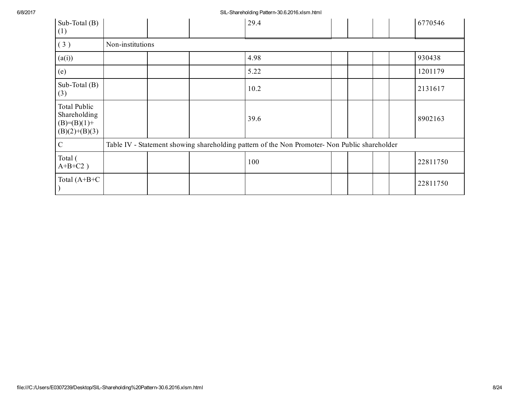6/8/2017 SILShareholding Pattern30.6.2016.xlsm.html

| Sub-Total $(B)$<br>(1)                                                  |                  |  | 29.4                                                                                          |  |  | 6770546  |
|-------------------------------------------------------------------------|------------------|--|-----------------------------------------------------------------------------------------------|--|--|----------|
| (3)                                                                     | Non-institutions |  |                                                                                               |  |  |          |
| (a(i))                                                                  |                  |  | 4.98                                                                                          |  |  | 930438   |
| (e)                                                                     |                  |  | 5.22                                                                                          |  |  | 1201179  |
| Sub-Total $(B)$<br>(3)                                                  |                  |  | 10.2                                                                                          |  |  | 2131617  |
| <b>Total Public</b><br>Shareholding<br>$(B)=(B)(1)+$<br>$(B)(2)+(B)(3)$ |                  |  | 39.6                                                                                          |  |  | 8902163  |
| $\mathcal{C}$                                                           |                  |  | Table IV - Statement showing shareholding pattern of the Non Promoter- Non Public shareholder |  |  |          |
| Total (<br>$A+B+C2$ )                                                   |                  |  | 100                                                                                           |  |  | 22811750 |
| Total $(A+B+C$                                                          |                  |  |                                                                                               |  |  | 22811750 |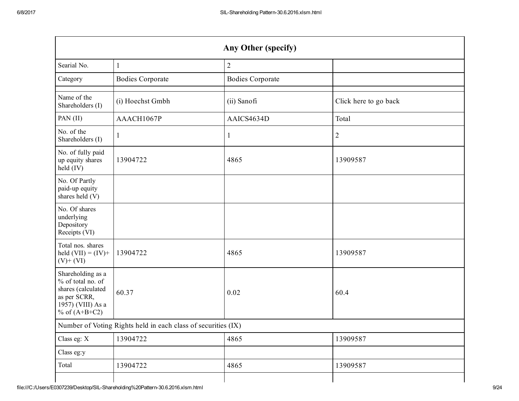| Any Other (specify)                                                                                                  |                                                               |                         |                       |  |  |  |  |
|----------------------------------------------------------------------------------------------------------------------|---------------------------------------------------------------|-------------------------|-----------------------|--|--|--|--|
| Searial No.                                                                                                          | $\mathbf{1}$                                                  | $\sqrt{2}$              |                       |  |  |  |  |
| Category                                                                                                             | <b>Bodies Corporate</b>                                       | <b>Bodies Corporate</b> |                       |  |  |  |  |
| Name of the<br>Shareholders (I)                                                                                      | (i) Hoechst Gmbh                                              | (ii) Sanofi             | Click here to go back |  |  |  |  |
| PAN (II)                                                                                                             | AAACH1067P                                                    | AAICS4634D              | Total                 |  |  |  |  |
| No. of the<br>Shareholders (I)                                                                                       | $\mathbf{1}$                                                  | $\mathbf{1}$            | $\overline{2}$        |  |  |  |  |
| No. of fully paid<br>up equity shares<br>held (IV)                                                                   | 13904722                                                      | 4865                    | 13909587              |  |  |  |  |
| No. Of Partly<br>paid-up equity<br>shares held (V)                                                                   |                                                               |                         |                       |  |  |  |  |
| No. Of shares<br>underlying<br>Depository<br>Receipts (VI)                                                           |                                                               |                         |                       |  |  |  |  |
| Total nos. shares<br>held $(VII) = (IV) +$<br>$(V)$ + $(VI)$                                                         | 13904722                                                      | 4865                    | 13909587              |  |  |  |  |
| Shareholding as a<br>% of total no. of<br>shares (calculated<br>as per SCRR,<br>1957) (VIII) As a<br>% of $(A+B+C2)$ | 60.37                                                         | 0.02                    | 60.4                  |  |  |  |  |
|                                                                                                                      | Number of Voting Rights held in each class of securities (IX) |                         |                       |  |  |  |  |
| Class eg: X                                                                                                          | 13904722                                                      | 4865                    | 13909587              |  |  |  |  |
| Class eg:y                                                                                                           |                                                               |                         |                       |  |  |  |  |
| Total                                                                                                                | 13904722                                                      | 4865                    | 13909587              |  |  |  |  |
|                                                                                                                      |                                                               |                         |                       |  |  |  |  |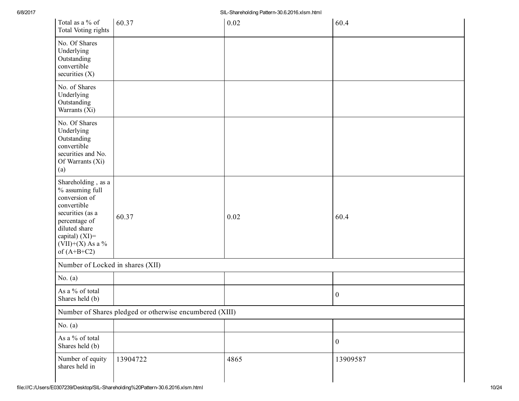| Total as a % of<br>Total Voting rights                                                                                                                                                  | 60.37                                                   | 0.02 | 60.4             |
|-----------------------------------------------------------------------------------------------------------------------------------------------------------------------------------------|---------------------------------------------------------|------|------------------|
| No. Of Shares<br>Underlying<br>Outstanding<br>convertible<br>securities $(X)$                                                                                                           |                                                         |      |                  |
| No. of Shares<br>Underlying<br>Outstanding<br>Warrants (Xi)                                                                                                                             |                                                         |      |                  |
| No. Of Shares<br>Underlying<br>Outstanding<br>convertible<br>securities and No.<br>Of Warrants (Xi)<br>(a)                                                                              |                                                         |      |                  |
| Shareholding, as a<br>% assuming full<br>conversion of<br>convertible<br>securities (as a<br>percentage of<br>diluted share<br>capital) $(XI)$ =<br>$(VII)+(X)$ As a %<br>of $(A+B+C2)$ | 60.37                                                   | 0.02 | 60.4             |
| Number of Locked in shares (XII)                                                                                                                                                        |                                                         |      |                  |
| No. $(a)$                                                                                                                                                                               |                                                         |      |                  |
| As a % of total<br>Shares held (b)                                                                                                                                                      |                                                         |      | $\boldsymbol{0}$ |
|                                                                                                                                                                                         | Number of Shares pledged or otherwise encumbered (XIII) |      |                  |
| No. $(a)$                                                                                                                                                                               |                                                         |      |                  |
| As a % of total<br>Shares held (b)                                                                                                                                                      |                                                         |      | $\mathbf{0}$     |
| Number of equity<br>shares held in                                                                                                                                                      | 13904722                                                | 4865 | 13909587         |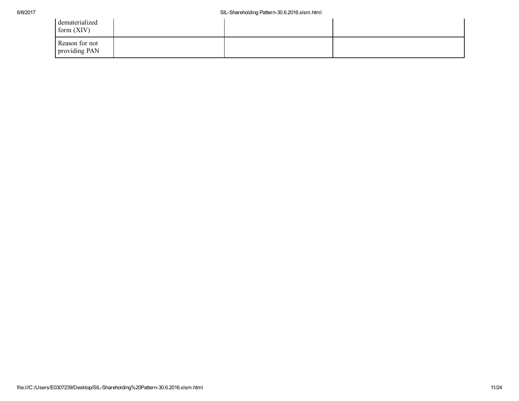## 6/8/2017 SILShareholding Pattern30.6.2016.xlsm.html

| dematerialized<br>form (XIV)    |  |  |
|---------------------------------|--|--|
| Reason for not<br>providing PAN |  |  |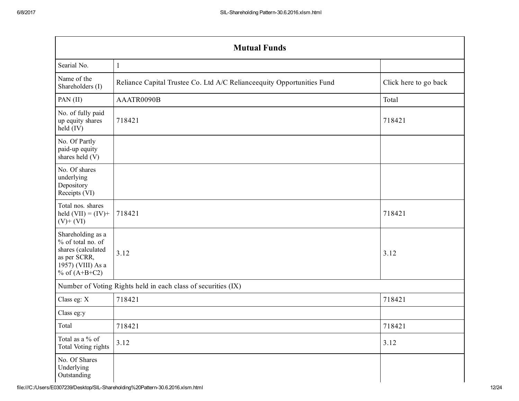| <b>Mutual Funds</b>                                                                                                  |                                                                        |                       |  |  |  |  |  |
|----------------------------------------------------------------------------------------------------------------------|------------------------------------------------------------------------|-----------------------|--|--|--|--|--|
| Searial No.                                                                                                          | 1                                                                      |                       |  |  |  |  |  |
| Name of the<br>Shareholders (I)                                                                                      | Reliance Capital Trustee Co. Ltd A/C Relianceequity Opportunities Fund | Click here to go back |  |  |  |  |  |
| PAN (II)                                                                                                             | AAATR0090B                                                             | Total                 |  |  |  |  |  |
| No. of fully paid<br>up equity shares<br>held (IV)                                                                   | 718421                                                                 | 718421                |  |  |  |  |  |
| No. Of Partly<br>paid-up equity<br>shares held (V)                                                                   |                                                                        |                       |  |  |  |  |  |
| No. Of shares<br>underlying<br>Depository<br>Receipts (VI)                                                           |                                                                        |                       |  |  |  |  |  |
| Total nos. shares<br>held $(VII) = (IV) +$<br>$(V)$ + $(VI)$                                                         | 718421                                                                 | 718421                |  |  |  |  |  |
| Shareholding as a<br>% of total no. of<br>shares (calculated<br>as per SCRR,<br>1957) (VIII) As a<br>% of $(A+B+C2)$ | 3.12                                                                   | 3.12                  |  |  |  |  |  |
|                                                                                                                      | Number of Voting Rights held in each class of securities (IX)          |                       |  |  |  |  |  |
| Class eg: X                                                                                                          | 718421                                                                 | 718421                |  |  |  |  |  |
| Class eg:y                                                                                                           |                                                                        |                       |  |  |  |  |  |
| Total                                                                                                                | 718421                                                                 | 718421                |  |  |  |  |  |
| Total as a % of<br>Total Voting rights                                                                               | 3.12                                                                   | 3.12                  |  |  |  |  |  |
| No. Of Shares<br>Underlying<br>Outstanding                                                                           |                                                                        |                       |  |  |  |  |  |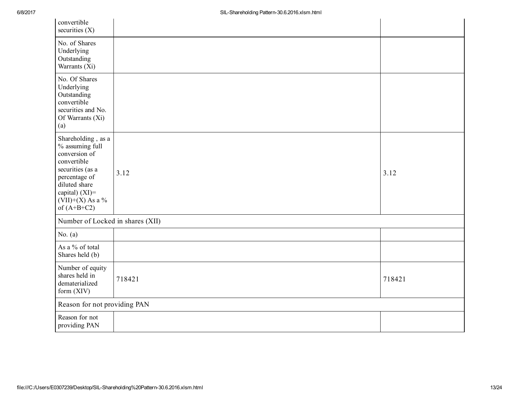| convertible<br>securities $(X)$                                                                                                                                                         |        |        |
|-----------------------------------------------------------------------------------------------------------------------------------------------------------------------------------------|--------|--------|
| No. of Shares<br>Underlying<br>Outstanding<br>Warrants (Xi)                                                                                                                             |        |        |
| No. Of Shares<br>Underlying<br>Outstanding<br>convertible<br>securities and No.<br>Of Warrants (Xi)<br>(a)                                                                              |        |        |
| Shareholding, as a<br>% assuming full<br>conversion of<br>convertible<br>securities (as a<br>percentage of<br>diluted share<br>capital) $(XI)$ =<br>$(VII)+(X)$ As a %<br>of $(A+B+C2)$ | 3.12   | 3.12   |
| Number of Locked in shares (XII)                                                                                                                                                        |        |        |
| No. $(a)$                                                                                                                                                                               |        |        |
| As a % of total<br>Shares held (b)                                                                                                                                                      |        |        |
| Number of equity<br>shares held in<br>dematerialized<br>form (XIV)                                                                                                                      | 718421 | 718421 |
| Reason for not providing PAN                                                                                                                                                            |        |        |
| Reason for not<br>providing PAN                                                                                                                                                         |        |        |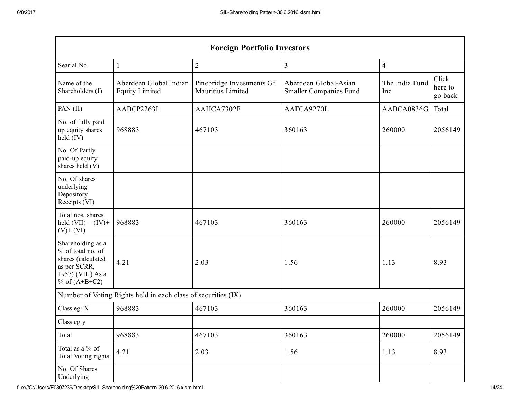$\sim$ 

| <b>Foreign Portfolio Investors</b>                                                                                   |                                                               |                                                |                                                        |                       |                             |  |  |
|----------------------------------------------------------------------------------------------------------------------|---------------------------------------------------------------|------------------------------------------------|--------------------------------------------------------|-----------------------|-----------------------------|--|--|
| Searial No.                                                                                                          | 1                                                             | $\sqrt{2}$                                     | $\mathfrak{Z}$                                         | 4                     |                             |  |  |
| Name of the<br>Shareholders (I)                                                                                      | Aberdeen Global Indian<br><b>Equity Limited</b>               | Pinebridge Investments Gf<br>Mauritius Limited | Aberdeen Global-Asian<br><b>Smaller Companies Fund</b> | The India Fund<br>Inc | Click<br>here to<br>go back |  |  |
| PAN (II)                                                                                                             | AABCP2263L                                                    | AAHCA7302F                                     | AAFCA9270L                                             | AABCA0836G            | Total                       |  |  |
| No. of fully paid<br>up equity shares<br>held $(IV)$                                                                 | 968883                                                        | 467103                                         | 360163                                                 | 260000                | 2056149                     |  |  |
| No. Of Partly<br>paid-up equity<br>shares held (V)                                                                   |                                                               |                                                |                                                        |                       |                             |  |  |
| No. Of shares<br>underlying<br>Depository<br>Receipts (VI)                                                           |                                                               |                                                |                                                        |                       |                             |  |  |
| Total nos. shares<br>held $(VII) = (IV) +$<br>$(V)$ + $(VI)$                                                         | 968883                                                        | 467103                                         | 360163                                                 | 260000                | 2056149                     |  |  |
| Shareholding as a<br>% of total no. of<br>shares (calculated<br>as per SCRR,<br>1957) (VIII) As a<br>% of $(A+B+C2)$ | 4.21                                                          | 2.03                                           | 1.56                                                   | 1.13                  | 8.93                        |  |  |
|                                                                                                                      | Number of Voting Rights held in each class of securities (IX) |                                                |                                                        |                       |                             |  |  |
| Class eg: X                                                                                                          | 968883                                                        | 467103                                         | 360163                                                 | 260000                | 2056149                     |  |  |
| Class eg:y                                                                                                           |                                                               |                                                |                                                        |                       |                             |  |  |
| Total                                                                                                                | 968883                                                        | 467103                                         | 360163                                                 | 260000                | 2056149                     |  |  |
| Total as a % of<br><b>Total Voting rights</b>                                                                        | 4.21                                                          | 2.03                                           | 1.56                                                   | 1.13                  | 8.93                        |  |  |
| No. Of Shares<br>Underlying                                                                                          |                                                               |                                                |                                                        |                       |                             |  |  |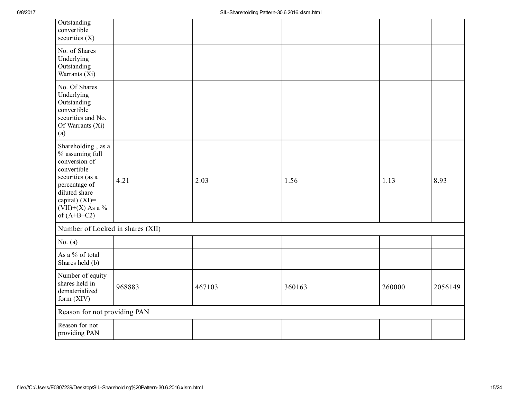| Outstanding<br>convertible<br>securities $(X)$                                                                                                                                       |        |        |        |        |         |
|--------------------------------------------------------------------------------------------------------------------------------------------------------------------------------------|--------|--------|--------|--------|---------|
| No. of Shares<br>Underlying<br>Outstanding<br>Warrants (Xi)                                                                                                                          |        |        |        |        |         |
| No. Of Shares<br>Underlying<br>Outstanding<br>convertible<br>securities and No.<br>Of Warrants (Xi)<br>(a)                                                                           |        |        |        |        |         |
| Shareholding, as a<br>% assuming full<br>conversion of<br>convertible<br>securities (as a<br>percentage of<br>diluted share<br>capital) (XI)=<br>$(VII)+(X)$ As a %<br>of $(A+B+C2)$ | 4.21   | 2.03   | 1.56   | 1.13   | 8.93    |
| Number of Locked in shares (XII)                                                                                                                                                     |        |        |        |        |         |
| No. $(a)$                                                                                                                                                                            |        |        |        |        |         |
| As a % of total<br>Shares held (b)                                                                                                                                                   |        |        |        |        |         |
| Number of equity<br>shares held in<br>dematerialized<br>form (XIV)                                                                                                                   | 968883 | 467103 | 360163 | 260000 | 2056149 |
| Reason for not providing PAN                                                                                                                                                         |        |        |        |        |         |
| Reason for not<br>providing PAN                                                                                                                                                      |        |        |        |        |         |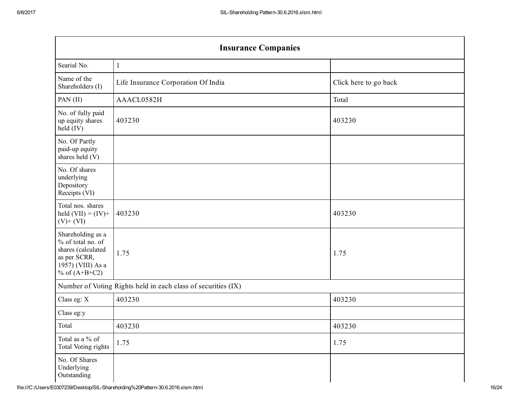$\sim$ 

| <b>Insurance Companies</b>                                                                                           |                                                               |                       |  |  |  |  |  |
|----------------------------------------------------------------------------------------------------------------------|---------------------------------------------------------------|-----------------------|--|--|--|--|--|
| Searial No.                                                                                                          |                                                               |                       |  |  |  |  |  |
| Name of the<br>Shareholders (I)                                                                                      | Life Insurance Corporation Of India                           | Click here to go back |  |  |  |  |  |
| PAN (II)                                                                                                             | AAACL0582H                                                    | Total                 |  |  |  |  |  |
| No. of fully paid<br>up equity shares<br>held $(IV)$                                                                 | 403230                                                        | 403230                |  |  |  |  |  |
| No. Of Partly<br>paid-up equity<br>shares held (V)                                                                   |                                                               |                       |  |  |  |  |  |
| No. Of shares<br>underlying<br>Depository<br>Receipts (VI)                                                           |                                                               |                       |  |  |  |  |  |
| Total nos. shares<br>held $(VII) = (IV) +$<br>$(V)$ + $(VI)$                                                         | 403230                                                        | 403230                |  |  |  |  |  |
| Shareholding as a<br>% of total no. of<br>shares (calculated<br>as per SCRR,<br>1957) (VIII) As a<br>% of $(A+B+C2)$ | 1.75                                                          | 1.75                  |  |  |  |  |  |
|                                                                                                                      | Number of Voting Rights held in each class of securities (IX) |                       |  |  |  |  |  |
| Class eg: X                                                                                                          | 403230                                                        | 403230                |  |  |  |  |  |
| Class eg:y                                                                                                           |                                                               |                       |  |  |  |  |  |
| Total                                                                                                                | 403230                                                        | 403230                |  |  |  |  |  |
| Total as a % of<br>Total Voting rights                                                                               | 1.75                                                          | 1.75                  |  |  |  |  |  |
| No. Of Shares<br>Underlying<br>Outstanding                                                                           |                                                               |                       |  |  |  |  |  |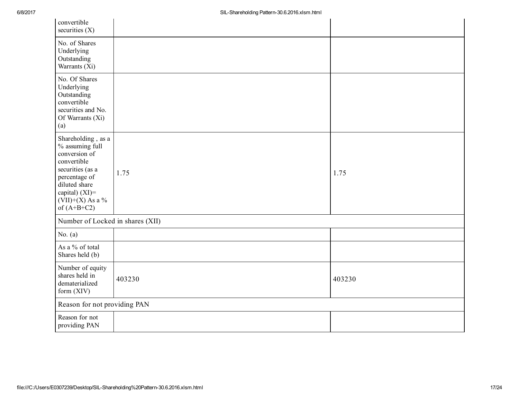| convertible<br>securities $(X)$                                                                                                                                                         |        |        |
|-----------------------------------------------------------------------------------------------------------------------------------------------------------------------------------------|--------|--------|
| No. of Shares<br>Underlying<br>Outstanding<br>Warrants (Xi)                                                                                                                             |        |        |
| No. Of Shares<br>Underlying<br>Outstanding<br>convertible<br>securities and No.<br>Of Warrants (Xi)<br>(a)                                                                              |        |        |
| Shareholding, as a<br>% assuming full<br>conversion of<br>convertible<br>securities (as a<br>percentage of<br>diluted share<br>capital) $(XI)$ =<br>$(VII)+(X)$ As a %<br>of $(A+B+C2)$ | 1.75   | 1.75   |
| Number of Locked in shares (XII)                                                                                                                                                        |        |        |
| No. $(a)$                                                                                                                                                                               |        |        |
| As a % of total<br>Shares held (b)                                                                                                                                                      |        |        |
| Number of equity<br>shares held in<br>dematerialized<br>form (XIV)                                                                                                                      | 403230 | 403230 |
| Reason for not providing PAN                                                                                                                                                            |        |        |
| Reason for not<br>providing PAN                                                                                                                                                         |        |        |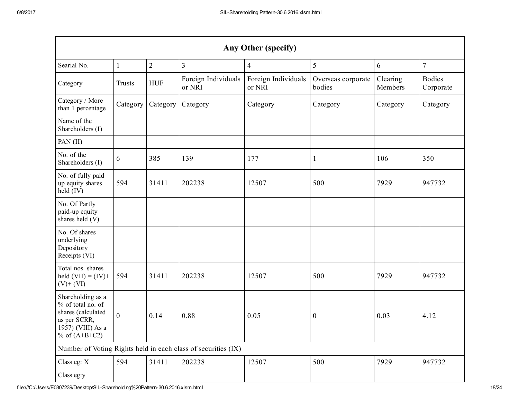| Any Other (specify)                                                                                                    |              |                |                                                               |                               |                              |                     |                            |
|------------------------------------------------------------------------------------------------------------------------|--------------|----------------|---------------------------------------------------------------|-------------------------------|------------------------------|---------------------|----------------------------|
| Searial No.                                                                                                            | $\mathbf{1}$ | $\overline{2}$ | $\overline{3}$                                                | $\overline{4}$                | 5                            | 6                   | $\overline{7}$             |
| Category                                                                                                               | Trusts       | <b>HUF</b>     | Foreign Individuals<br>or NRI                                 | Foreign Individuals<br>or NRI | Overseas corporate<br>bodies | Clearing<br>Members | <b>Bodies</b><br>Corporate |
| Category / More<br>than 1 percentage                                                                                   | Category     | Category       | Category                                                      | Category                      | Category                     | Category            | Category                   |
| Name of the<br>Shareholders (I)                                                                                        |              |                |                                                               |                               |                              |                     |                            |
| PAN (II)                                                                                                               |              |                |                                                               |                               |                              |                     |                            |
| No. of the<br>Shareholders (I)                                                                                         | 6            | 385            | 139                                                           | 177                           | 1                            | 106                 | 350                        |
| No. of fully paid<br>up equity shares<br>held (IV)                                                                     | 594          | 31411          | 202238                                                        | 12507                         | 500                          | 7929                | 947732                     |
| No. Of Partly<br>paid-up equity<br>shares held (V)                                                                     |              |                |                                                               |                               |                              |                     |                            |
| No. Of shares<br>underlying<br>Depository<br>Receipts (VI)                                                             |              |                |                                                               |                               |                              |                     |                            |
| Total nos. shares<br>held $(VII) = (IV) +$<br>$(V)$ + $(VI)$                                                           | 594          | 31411          | 202238                                                        | 12507                         | 500                          | 7929                | 947732                     |
| Shareholding as a<br>$%$ of total no. of<br>shares (calculated<br>as per SCRR,<br>1957) (VIII) As a<br>% of $(A+B+C2)$ | $\mathbf{0}$ | 0.14           | 0.88                                                          | 0.05                          | $\boldsymbol{0}$             | 0.03                | 4.12                       |
|                                                                                                                        |              |                | Number of Voting Rights held in each class of securities (IX) |                               |                              |                     |                            |
| Class eg: X                                                                                                            | 594          | 31411          | 202238                                                        | 12507                         | 500                          | 7929                | 947732                     |
| Class eg:y                                                                                                             |              |                |                                                               |                               |                              |                     |                            |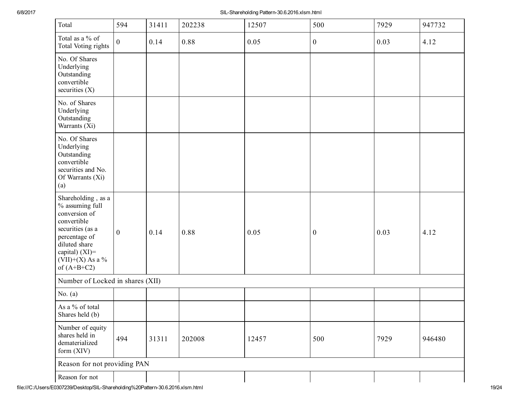| Total                                                                                                                                                                                 | 594              | 31411 | 202238 | 12507 | 500              | 7929 | 947732 |
|---------------------------------------------------------------------------------------------------------------------------------------------------------------------------------------|------------------|-------|--------|-------|------------------|------|--------|
| Total as a % of<br>Total Voting rights                                                                                                                                                | $\boldsymbol{0}$ | 0.14  | 0.88   | 0.05  | $\boldsymbol{0}$ | 0.03 | 4.12   |
| No. Of Shares<br>Underlying<br>Outstanding<br>convertible<br>securities $(X)$                                                                                                         |                  |       |        |       |                  |      |        |
| No. of Shares<br>Underlying<br>Outstanding<br>Warrants (Xi)                                                                                                                           |                  |       |        |       |                  |      |        |
| No. Of Shares<br>Underlying<br>Outstanding<br>convertible<br>securities and No.<br>Of Warrants (Xi)<br>(a)                                                                            |                  |       |        |       |                  |      |        |
| Shareholding, as a<br>% assuming full<br>conversion of<br>convertible<br>securities (as a<br>percentage of<br>diluted share<br>capital) $(XI)$ =<br>(VII)+(X) As a %<br>of $(A+B+C2)$ | $\boldsymbol{0}$ | 0.14  | 0.88   | 0.05  | $\boldsymbol{0}$ | 0.03 | 4.12   |
| Number of Locked in shares (XII)                                                                                                                                                      |                  |       |        |       |                  |      |        |
| No. $(a)$                                                                                                                                                                             |                  |       |        |       |                  |      |        |
| As a % of total<br>Shares held (b)                                                                                                                                                    |                  |       |        |       |                  |      |        |
| Number of equity<br>shares held in<br>dematerialized<br>form $(XIV)$                                                                                                                  | 494              | 31311 | 202008 | 12457 | 500              | 7929 | 946480 |
| Reason for not providing PAN                                                                                                                                                          |                  |       |        |       |                  |      |        |
| Reason for not                                                                                                                                                                        |                  |       |        |       |                  |      |        |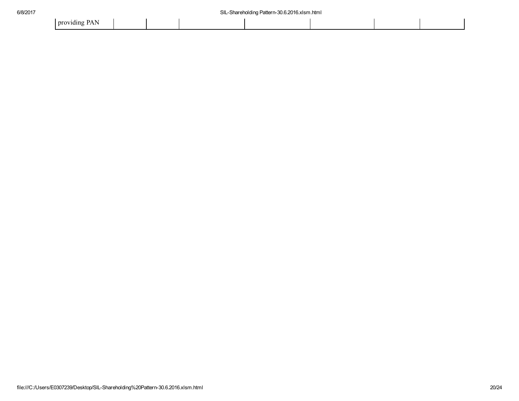| . .<br>nrovidino<br>.<br>. . |  |  |  |  |
|------------------------------|--|--|--|--|
|                              |  |  |  |  |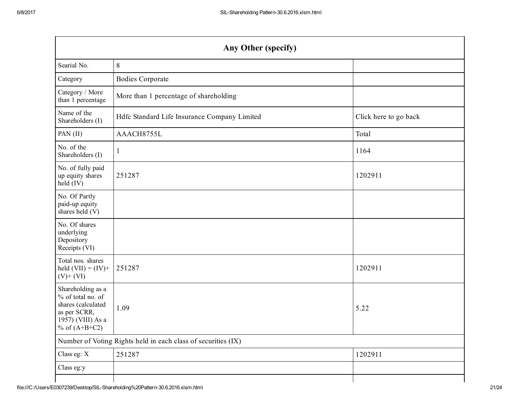| Any Other (specify)                                                                                                  |                                                               |                       |  |  |  |  |  |
|----------------------------------------------------------------------------------------------------------------------|---------------------------------------------------------------|-----------------------|--|--|--|--|--|
| Searial No.                                                                                                          | 8                                                             |                       |  |  |  |  |  |
| Category                                                                                                             | <b>Bodies Corporate</b>                                       |                       |  |  |  |  |  |
| Category / More<br>than 1 percentage                                                                                 | More than 1 percentage of shareholding                        |                       |  |  |  |  |  |
| Name of the<br>Shareholders (I)                                                                                      | Hdfc Standard Life Insurance Company Limited                  | Click here to go back |  |  |  |  |  |
| PAN (II)                                                                                                             | AAACH8755L                                                    | Total                 |  |  |  |  |  |
| No. of the<br>Shareholders (I)                                                                                       | $\mathbf{1}$                                                  | 1164                  |  |  |  |  |  |
| No. of fully paid<br>up equity shares<br>held (IV)                                                                   | 251287                                                        | 1202911               |  |  |  |  |  |
| No. Of Partly<br>paid-up equity<br>shares held (V)                                                                   |                                                               |                       |  |  |  |  |  |
| No. Of shares<br>underlying<br>Depository<br>Receipts (VI)                                                           |                                                               |                       |  |  |  |  |  |
| Total nos. shares<br>held $(VII) = (IV) +$<br>$(V)$ + $(VI)$                                                         | 251287                                                        | 1202911               |  |  |  |  |  |
| Shareholding as a<br>% of total no. of<br>shares (calculated<br>as per SCRR,<br>1957) (VIII) As a<br>% of $(A+B+C2)$ | 1.09                                                          | 5.22                  |  |  |  |  |  |
|                                                                                                                      | Number of Voting Rights held in each class of securities (IX) |                       |  |  |  |  |  |
| Class eg: X                                                                                                          | 251287                                                        | 1202911               |  |  |  |  |  |
| Class eg:y                                                                                                           |                                                               |                       |  |  |  |  |  |
|                                                                                                                      |                                                               |                       |  |  |  |  |  |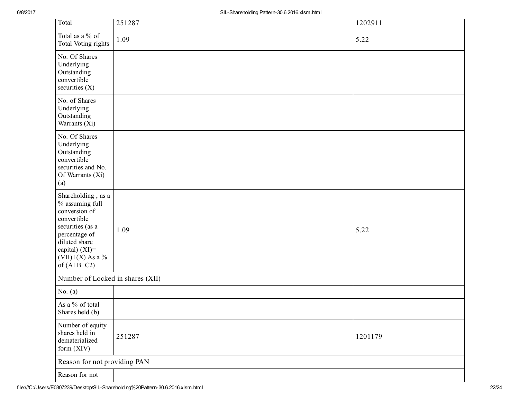| Total                                                                                                                                                                                | 251287 | 1202911 |
|--------------------------------------------------------------------------------------------------------------------------------------------------------------------------------------|--------|---------|
| Total as a % of<br>Total Voting rights                                                                                                                                               | 1.09   | 5.22    |
| No. Of Shares<br>Underlying<br>Outstanding<br>convertible<br>securities $(X)$                                                                                                        |        |         |
| No. of Shares<br>Underlying<br>Outstanding<br>Warrants (Xi)                                                                                                                          |        |         |
| No. Of Shares<br>Underlying<br>Outstanding<br>convertible<br>securities and No.<br>Of Warrants (Xi)<br>(a)                                                                           |        |         |
| Shareholding, as a<br>% assuming full<br>conversion of<br>convertible<br>securities (as a<br>percentage of<br>diluted share<br>capital) (XI)=<br>$(VII)+(X)$ As a %<br>of $(A+B+C2)$ | 1.09   | 5.22    |
| Number of Locked in shares (XII)                                                                                                                                                     |        |         |
| No. $(a)$                                                                                                                                                                            |        |         |
| As a % of total<br>Shares held (b)                                                                                                                                                   |        |         |
| Number of equity<br>shares held in<br>dematerialized<br>form (XIV)                                                                                                                   | 251287 | 1201179 |
| Reason for not providing PAN                                                                                                                                                         |        |         |
| Reason for not                                                                                                                                                                       |        |         |